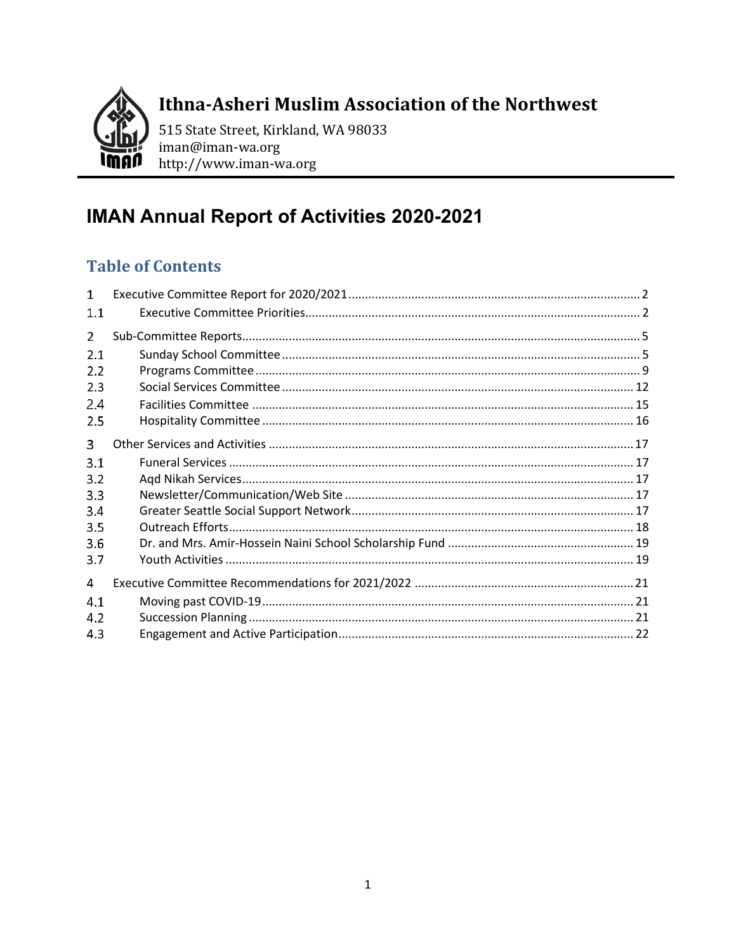

Ithna-Asheri Muslim Association of the Northwest

515 State Street, Kirkland, WA 98033 iman@iman-wa.org http://www.iman-wa.org

# **IMAN Annual Report of Activities 2020-2021**

# **Table of Contents**

| 1   |  |
|-----|--|
| 1.1 |  |
| 2   |  |
| 2.1 |  |
| 2.2 |  |
| 2.3 |  |
| 2.4 |  |
| 2.5 |  |
| 3   |  |
| 3.1 |  |
| 3.2 |  |
| 3.3 |  |
| 3.4 |  |
| 3.5 |  |
| 3.6 |  |
| 3.7 |  |
| 4   |  |
| 4.1 |  |
| 4.2 |  |
| 4.3 |  |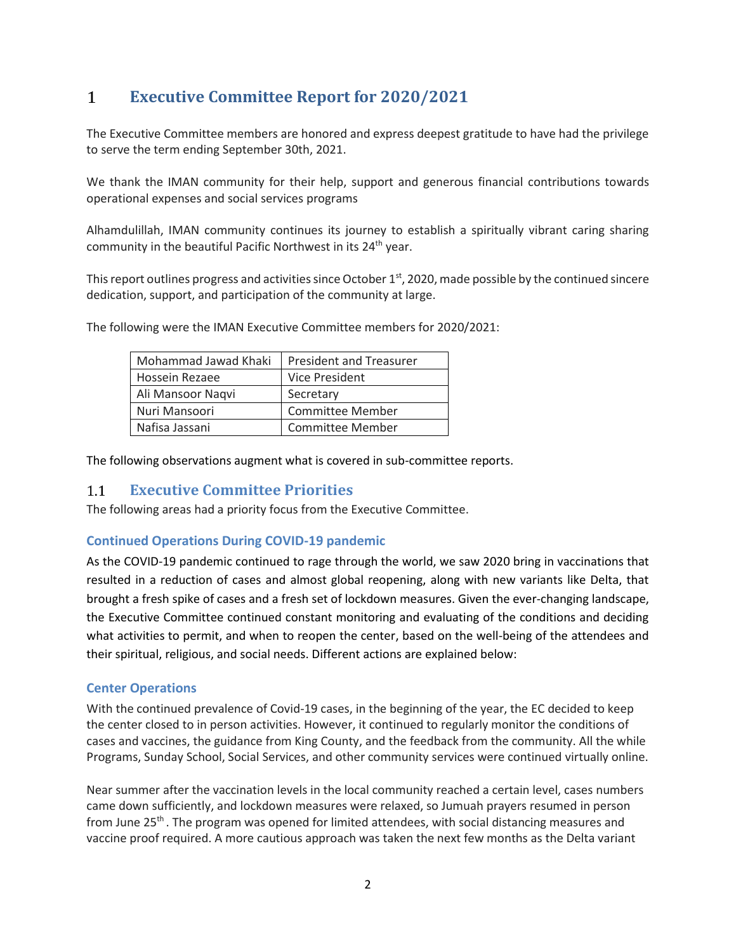#### <span id="page-1-0"></span> $\mathbf{1}$ **Executive Committee Report for 2020/2021**

The Executive Committee members are honored and express deepest gratitude to have had the privilege to serve the term ending September 30th, 2021.

We thank the IMAN community for their help, support and generous financial contributions towards operational expenses and social services programs

Alhamdulillah, IMAN community continues its journey to establish a spiritually vibrant caring sharing community in the beautiful Pacific Northwest in its 24<sup>th</sup> year.

This report outlines progress and activities since October 1st, 2020, made possible by the continued sincere dedication, support, and participation of the community at large.

The following were the IMAN Executive Committee members for 2020/2021:

| Mohammad Jawad Khaki | <b>President and Treasurer</b> |
|----------------------|--------------------------------|
| Hossein Rezaee       | Vice President                 |
| Ali Mansoor Nagvi    | Secretary                      |
| Nuri Mansoori        | <b>Committee Member</b>        |
| Nafisa Jassani       | <b>Committee Member</b>        |

The following observations augment what is covered in sub-committee reports.

#### <span id="page-1-1"></span>**Executive Committee Priorities**   $1.1$

The following areas had a priority focus from the Executive Committee.

### **Continued Operations During COVID-19 pandemic**

As the COVID-19 pandemic continued to rage through the world, we saw 2020 bring in vaccinations that resulted in a reduction of cases and almost global reopening, along with new variants like Delta, that brought a fresh spike of cases and a fresh set of lockdown measures. Given the ever-changing landscape, the Executive Committee continued constant monitoring and evaluating of the conditions and deciding what activities to permit, and when to reopen the center, based on the well-being of the attendees and their spiritual, religious, and social needs. Different actions are explained below:

#### **Center Operations**

With the continued prevalence of Covid-19 cases, in the beginning of the year, the EC decided to keep the center closed to in person activities. However, it continued to regularly monitor the conditions of cases and vaccines, the guidance from King County, and the feedback from the community. All the while Programs, Sunday School, Social Services, and other community services were continued virtually online.

Near summer after the vaccination levels in the local community reached a certain level, cases numbers came down sufficiently, and lockdown measures were relaxed, so Jumuah prayers resumed in person from June 25<sup>th</sup>. The program was opened for limited attendees, with social distancing measures and vaccine proof required. A more cautious approach was taken the next few months as the Delta variant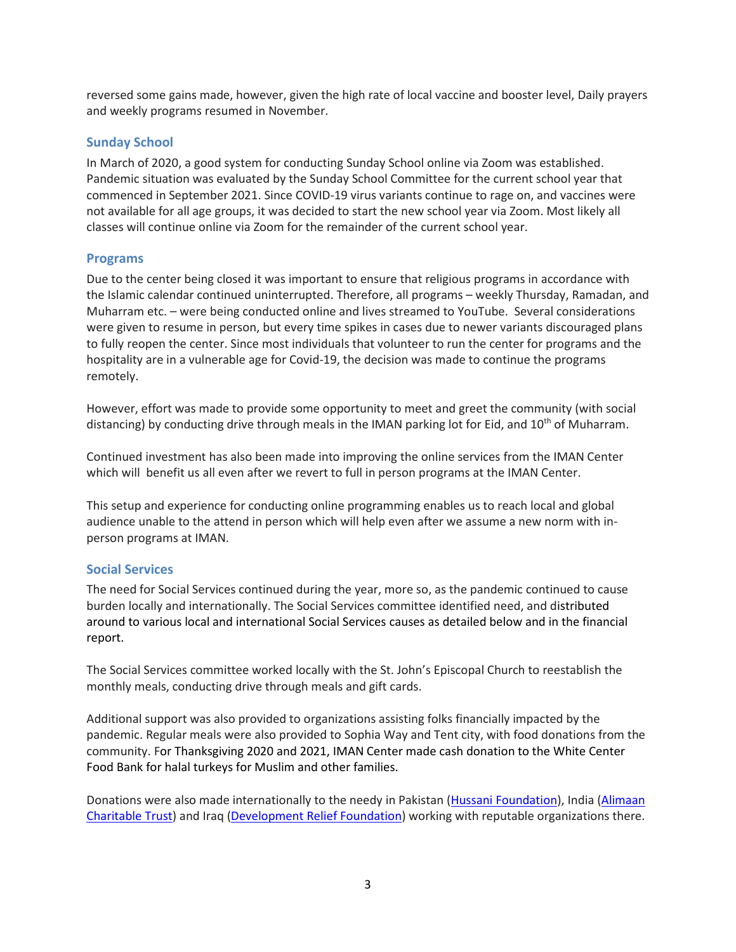reversed some gains made, however, given the high rate of local vaccine and booster level, Daily prayers and weekly programs resumed in November.

### **Sunday School**

In March of 2020, a good system for conducting Sunday School online via Zoom was established. Pandemic situation was evaluated by the Sunday School Committee for the current school year that commenced in September 2021. Since COVID-19 virus variants continue to rage on, and vaccines were not available for all age groups, it was decided to start the new school year via Zoom. Most likely all classes will continue online via Zoom for the remainder of the current school year.

#### **Programs**

Due to the center being closed it was important to ensure that religious programs in accordance with the Islamic calendar continued uninterrupted. Therefore, all programs – weekly Thursday, Ramadan, and Muharram etc. – were being conducted online and lives streamed to YouTube. Several considerations were given to resume in person, but every time spikes in cases due to newer variants discouraged plans to fully reopen the center. Since most individuals that volunteer to run the center for programs and the hospitality are in a vulnerable age for Covid-19, the decision was made to continue the programs remotely.

However, effort was made to provide some opportunity to meet and greet the community (with social distancing) by conducting drive through meals in the IMAN parking lot for Eid, and  $10^{th}$  of Muharram.

Continued investment has also been made into improving the online services from the IMAN Center which will benefit us all even after we revert to full in person programs at the IMAN Center.

This setup and experience for conducting online programming enables us to reach local and global audience unable to the attend in person which will help even after we assume a new norm with inperson programs at IMAN.

### **Social Services**

The need for Social Services continued during the year, more so, as the pandemic continued to cause burden locally and internationally. The Social Services committee identified need, and distributed around to various local and international Social Services causes as detailed below and in the financial report.

The Social Services committee worked locally with the St. John's Episcopal Church to reestablish the monthly meals, conducting drive through meals and gift cards.

Additional support was also provided to organizations assisting folks financially impacted by the pandemic. Regular meals were also provided to Sophia Way and Tent city, with food donations from the community. For Thanksgiving 2020 and 2021, IMAN Center made cash donation to the White Center Food Bank for halal turkeys for Muslim and other families.

Donations were also made internationally to the needy in Pakistan [\(Hussani Foundation\)](http://www.hussainifoundation.org/), India (Alimaan [Charitable Trust\)](http://alimaan.org/) and Iraq [\(Development Relief Foundation\)](https://drfcharity.org/) working with reputable organizations there.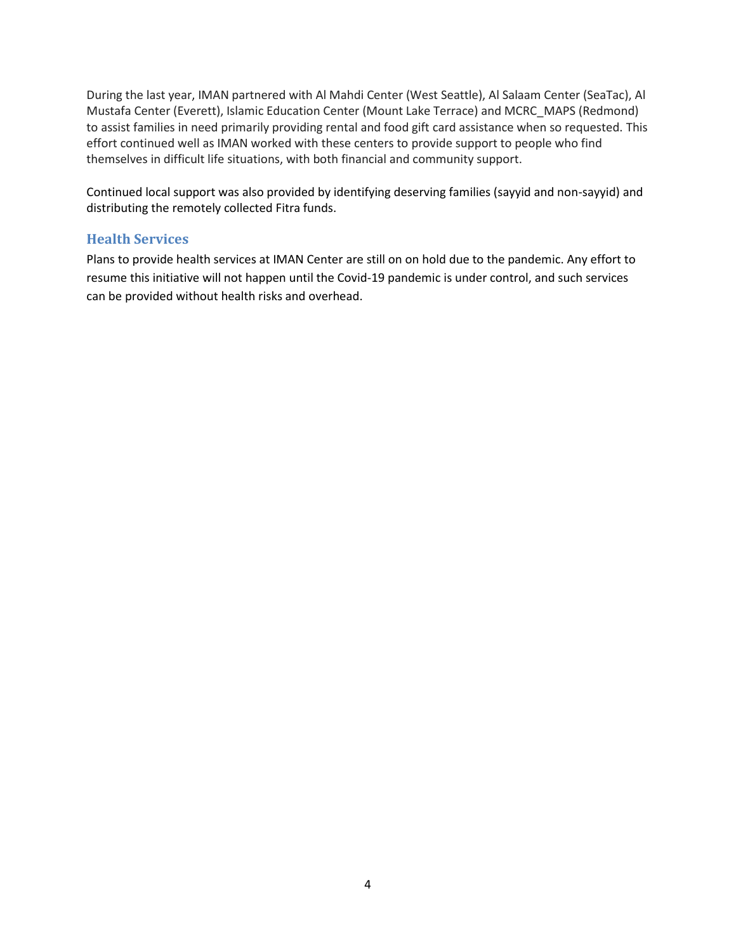During the last year, IMAN partnered with Al Mahdi Center (West Seattle), Al Salaam Center (SeaTac), Al Mustafa Center (Everett), Islamic Education Center (Mount Lake Terrace) and MCRC\_MAPS (Redmond) to assist families in need primarily providing rental and food gift card assistance when so requested. This effort continued well as IMAN worked with these centers to provide support to people who find themselves in difficult life situations, with both financial and community support.

Continued local support was also provided by identifying deserving families (sayyid and non-sayyid) and distributing the remotely collected Fitra funds.

### **Health Services**

Plans to provide health services at IMAN Center are still on on hold due to the pandemic. Any effort to resume this initiative will not happen until the Covid-19 pandemic is under control, and such services can be provided without health risks and overhead.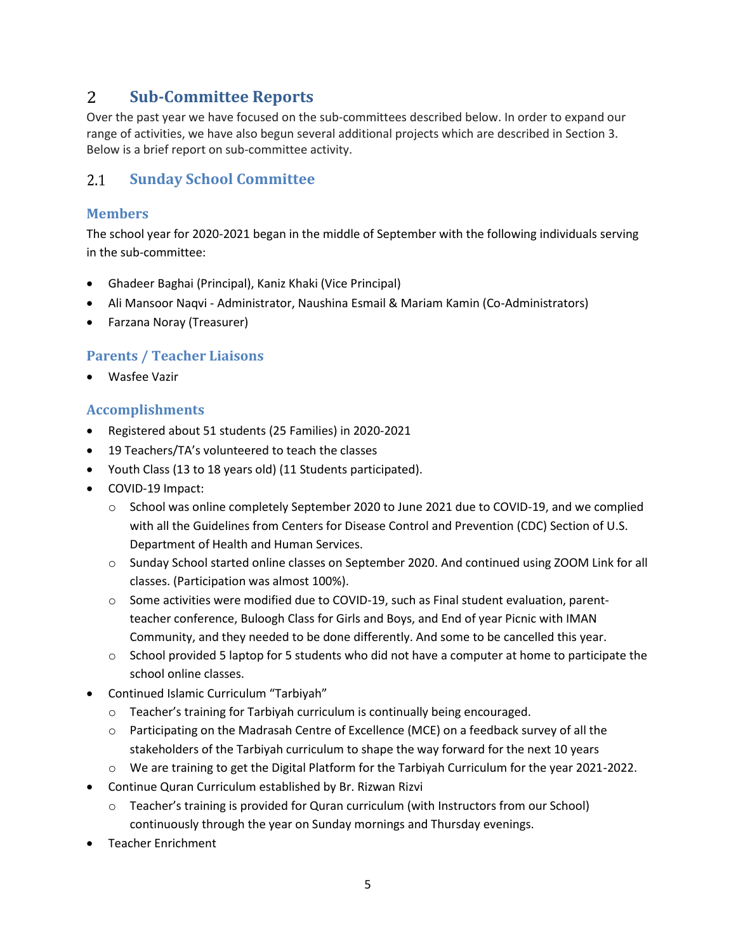#### <span id="page-4-0"></span> $\overline{2}$ **Sub-Committee Reports**

Over the past year we have focused on the sub-committees described below. In order to expand our range of activities, we have also begun several additional projects which are described in Section 3. Below is a brief report on sub-committee activity.

#### <span id="page-4-1"></span> $2.1$ **Sunday School Committee**

### **Members**

The school year for 2020-2021 began in the middle of September with the following individuals serving in the sub-committee:

- Ghadeer Baghai (Principal), Kaniz Khaki (Vice Principal)
- Ali Mansoor Naqvi Administrator, Naushina Esmail & Mariam Kamin (Co-Administrators)
- Farzana Noray (Treasurer)

### **Parents / Teacher Liaisons**

• Wasfee Vazir

### **Accomplishments**

- Registered about 51 students (25 Families) in 2020-2021
- 19 Teachers/TA's volunteered to teach the classes
- Youth Class (13 to 18 years old) (11 Students participated).
- COVID-19 Impact:
	- o School was online completely September 2020 to June 2021 due to COVID-19, and we complied with all the Guidelines from Centers for Disease Control and Prevention (CDC) Section of U.S. Department of Health and Human Services.
	- o Sunday School started online classes on September 2020. And continued using ZOOM Link for all classes. (Participation was almost 100%).
	- $\circ$  Some activities were modified due to COVID-19, such as Final student evaluation, parentteacher conference, Buloogh Class for Girls and Boys, and End of year Picnic with IMAN Community, and they needed to be done differently. And some to be cancelled this year.
	- $\circ$  School provided 5 laptop for 5 students who did not have a computer at home to participate the school online classes.
- Continued Islamic Curriculum "Tarbiyah"
	- o Teacher's training for Tarbiyah curriculum is continually being encouraged.
	- o Participating on the Madrasah Centre of Excellence (MCE) on a feedback survey of all the stakeholders of the Tarbiyah curriculum to shape the way forward for the next 10 years
	- o We are training to get the Digital Platform for the Tarbiyah Curriculum for the year 2021-2022.
- Continue Quran Curriculum established by Br. Rizwan Rizvi
	- o Teacher's training is provided for Quran curriculum (with Instructors from our School) continuously through the year on Sunday mornings and Thursday evenings.
- Teacher Enrichment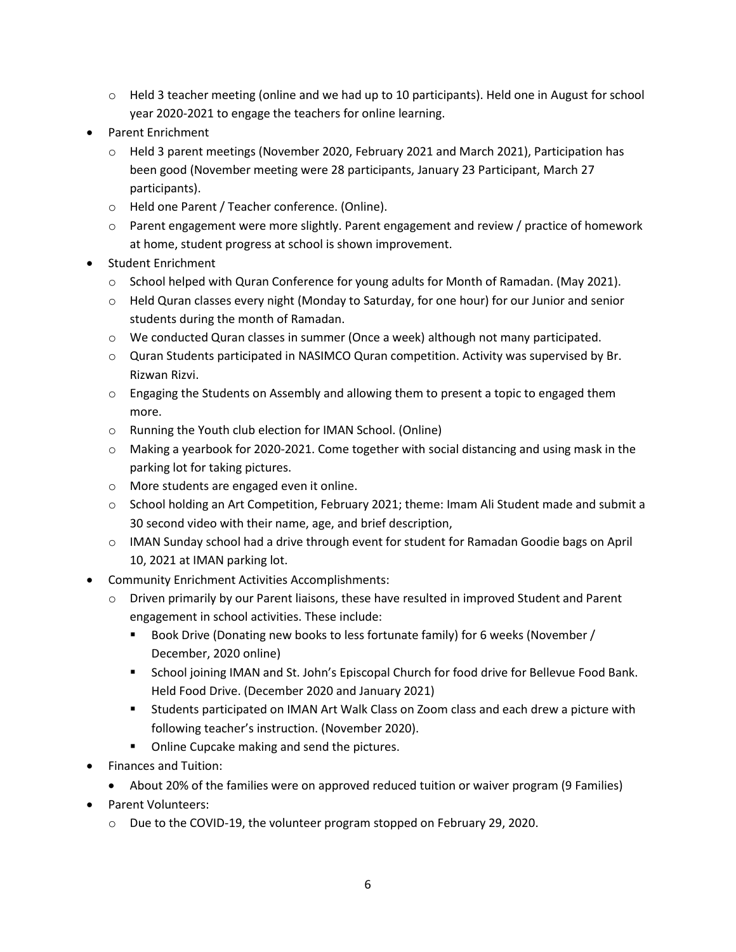- $\circ$  Held 3 teacher meeting (online and we had up to 10 participants). Held one in August for school year 2020-2021 to engage the teachers for online learning.
- Parent Enrichment
	- o Held 3 parent meetings (November 2020, February 2021 and March 2021), Participation has been good (November meeting were 28 participants, January 23 Participant, March 27 participants).
	- o Held one Parent / Teacher conference. (Online).
	- $\circ$  Parent engagement were more slightly. Parent engagement and review / practice of homework at home, student progress at school is shown improvement.
- Student Enrichment
	- $\circ$  School helped with Quran Conference for young adults for Month of Ramadan. (May 2021).
	- $\circ$  Held Quran classes every night (Monday to Saturday, for one hour) for our Junior and senior students during the month of Ramadan.
	- o We conducted Quran classes in summer (Once a week) although not many participated.
	- o Quran Students participated in NASIMCO Quran competition. Activity was supervised by Br. Rizwan Rizvi.
	- o Engaging the Students on Assembly and allowing them to present a topic to engaged them more.
	- o Running the Youth club election for IMAN School. (Online)
	- $\circ$  Making a yearbook for 2020-2021. Come together with social distancing and using mask in the parking lot for taking pictures.
	- o More students are engaged even it online.
	- $\circ$  School holding an Art Competition, February 2021; theme: Imam Ali Student made and submit a 30 second video with their name, age, and brief description,
	- o IMAN Sunday school had a drive through event for student for Ramadan Goodie bags on April 10, 2021 at IMAN parking lot.
- Community Enrichment Activities Accomplishments:
	- o Driven primarily by our Parent liaisons, these have resulted in improved Student and Parent engagement in school activities. These include:
		- Book Drive (Donating new books to less fortunate family) for 6 weeks (November / December, 2020 online)
		- School joining IMAN and St. John's Episcopal Church for food drive for Bellevue Food Bank. Held Food Drive. (December 2020 and January 2021)
		- Students participated on IMAN Art Walk Class on Zoom class and each drew a picture with following teacher's instruction. (November 2020).
		- Online Cupcake making and send the pictures.
- Finances and Tuition:
	- About 20% of the families were on approved reduced tuition or waiver program (9 Families)
- Parent Volunteers:
	- o Due to the COVID-19, the volunteer program stopped on February 29, 2020.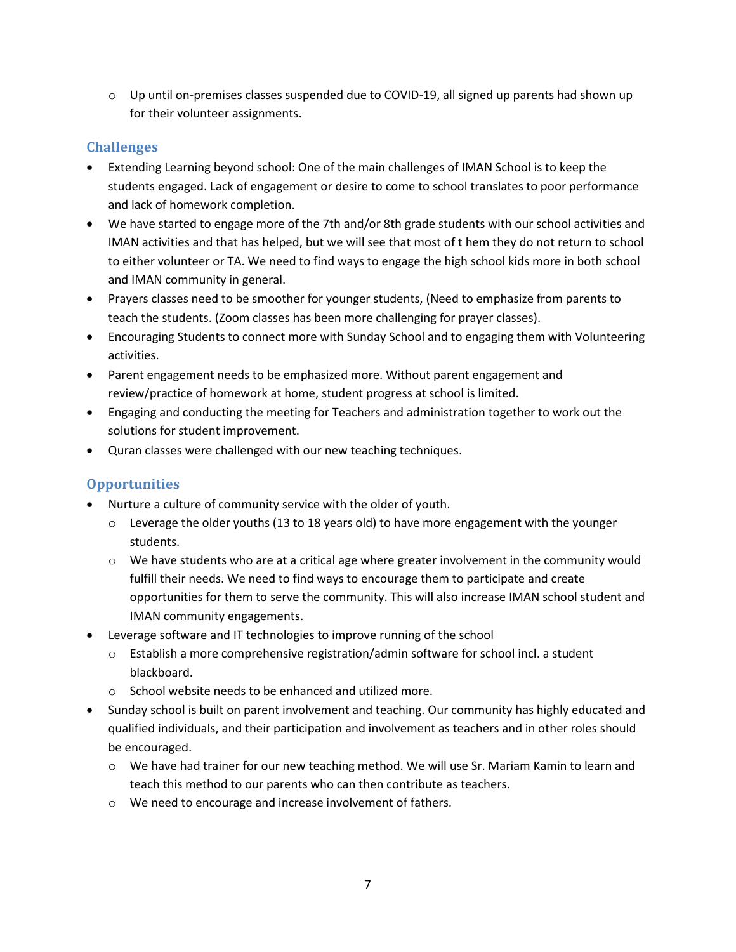$\circ$  Up until on-premises classes suspended due to COVID-19, all signed up parents had shown up for their volunteer assignments.

## **Challenges**

- Extending Learning beyond school: One of the main challenges of IMAN School is to keep the students engaged. Lack of engagement or desire to come to school translates to poor performance and lack of homework completion.
- We have started to engage more of the 7th and/or 8th grade students with our school activities and IMAN activities and that has helped, but we will see that most of t hem they do not return to school to either volunteer or TA. We need to find ways to engage the high school kids more in both school and IMAN community in general.
- Prayers classes need to be smoother for younger students, (Need to emphasize from parents to teach the students. (Zoom classes has been more challenging for prayer classes).
- Encouraging Students to connect more with Sunday School and to engaging them with Volunteering activities.
- Parent engagement needs to be emphasized more. Without parent engagement and review/practice of homework at home, student progress at school is limited.
- Engaging and conducting the meeting for Teachers and administration together to work out the solutions for student improvement.
- Quran classes were challenged with our new teaching techniques.

## **Opportunities**

- Nurture a culture of community service with the older of youth.
	- $\circ$  Leverage the older youths (13 to 18 years old) to have more engagement with the younger students.
	- $\circ$  We have students who are at a critical age where greater involvement in the community would fulfill their needs. We need to find ways to encourage them to participate and create opportunities for them to serve the community. This will also increase IMAN school student and IMAN community engagements.
- Leverage software and IT technologies to improve running of the school
	- o Establish a more comprehensive registration/admin software for school incl. a student blackboard.
	- o School website needs to be enhanced and utilized more.
- Sunday school is built on parent involvement and teaching. Our community has highly educated and qualified individuals, and their participation and involvement as teachers and in other roles should be encouraged.
	- o We have had trainer for our new teaching method. We will use Sr. Mariam Kamin to learn and teach this method to our parents who can then contribute as teachers.
	- o We need to encourage and increase involvement of fathers.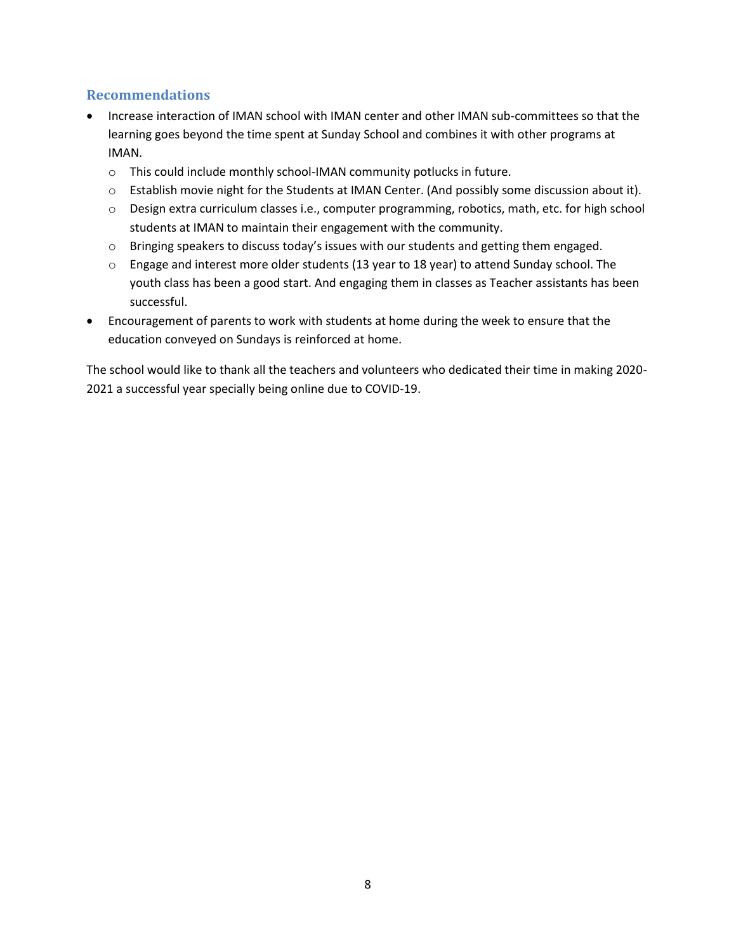### **Recommendations**

- Increase interaction of IMAN school with IMAN center and other IMAN sub-committees so that the learning goes beyond the time spent at Sunday School and combines it with other programs at IMAN.
	- o This could include monthly school-IMAN community potlucks in future.
	- o Establish movie night for the Students at IMAN Center. (And possibly some discussion about it).
	- o Design extra curriculum classes i.e., computer programming, robotics, math, etc. for high school students at IMAN to maintain their engagement with the community.
	- $\circ$  Bringing speakers to discuss today's issues with our students and getting them engaged.
	- $\circ$  Engage and interest more older students (13 year to 18 year) to attend Sunday school. The youth class has been a good start. And engaging them in classes as Teacher assistants has been successful.
- Encouragement of parents to work with students at home during the week to ensure that the education conveyed on Sundays is reinforced at home.

The school would like to thank all the teachers and volunteers who dedicated their time in making 2020- 2021 a successful year specially being online due to COVID-19.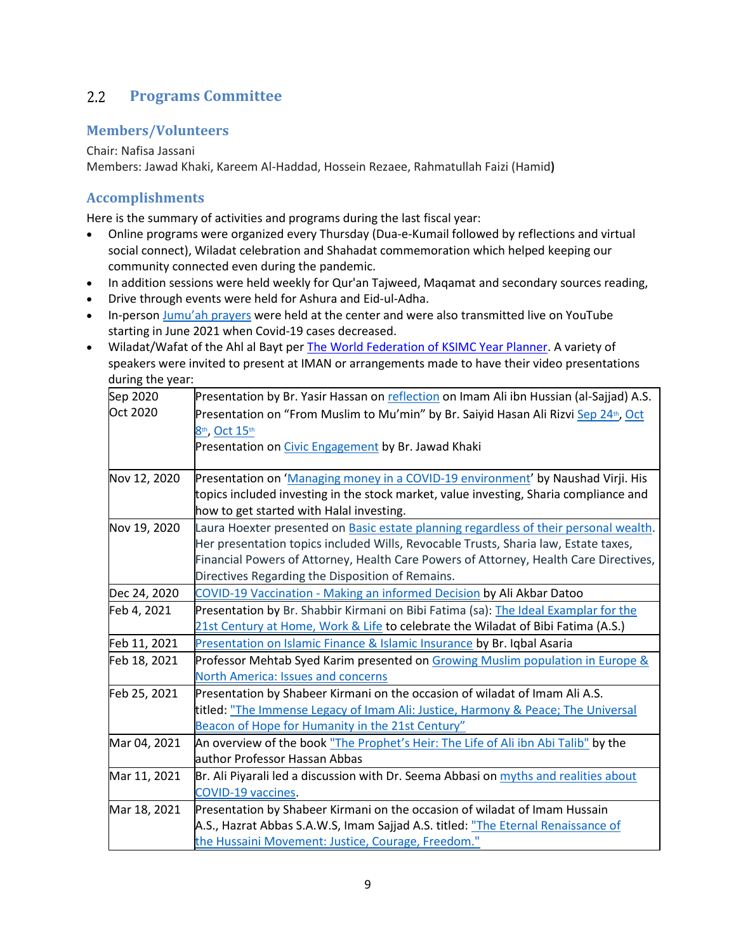#### <span id="page-8-0"></span> $2.2$ **Programs Committee**

### **Members/Volunteers**

#### Chair: Nafisa Jassani

Members: Jawad Khaki, Kareem Al-Haddad, Hossein Rezaee, Rahmatullah Faizi (Hamid**)**

### **Accomplishments**

Here is the summary of activities and programs during the last fiscal year: 

- Online programs were organized every Thursday (Dua-e-Kumail followed by reflections and virtual social connect), Wiladat celebration and Shahadat commemoration which helped keeping our community connected even during the pandemic.
- In addition sessions were held weekly for Qur'an Tajweed, Maqamat and secondary sources reading,
- Drive through events were held for Ashura and Eid-ul-Adha.
- In-person Jumu'ah [prayers](https://www.youtube.com/playlist?list=PLNpCN-m1McXbsO46VJoXElyo_Hlj4SDka) were held at the center and were also transmitted live on YouTube starting in June 2021 when Covid-19 cases decreased.
- Wiladat/Wafat of the Ahl al Bayt per [The World Federation of KSIMC Year Planner](https://old.world-federation.org/sites/default/files/The%20World%20Federation%20Planner%202021.pdf). A variety of speakers were invited to present at IMAN or arrangements made to have their video presentations during the year:

| Sep 2020     | Presentation by Br. Yasir Hassan on reflection on Imam Ali ibn Hussian (al-Sajjad) A.S.          |
|--------------|--------------------------------------------------------------------------------------------------|
| Oct 2020     | Presentation on "From Muslim to Mu'min" by Br. Saiyid Hasan Ali Rizvi Sep 24 <sup>th</sup> , Oct |
|              | 8th, Oct 15th                                                                                    |
|              | Presentation on Civic Engagement by Br. Jawad Khaki                                              |
|              |                                                                                                  |
| Nov 12, 2020 | Presentation on 'Managing money in a COVID-19 environment' by Naushad Virji. His                 |
|              | topics included investing in the stock market, value investing, Sharia compliance and            |
|              | how to get started with Halal investing.                                                         |
| Nov 19, 2020 | Laura Hoexter presented on Basic estate planning regardless of their personal wealth.            |
|              | Her presentation topics included Wills, Revocable Trusts, Sharia law, Estate taxes,              |
|              | Financial Powers of Attorney, Health Care Powers of Attorney, Health Care Directives,            |
|              | Directives Regarding the Disposition of Remains.                                                 |
| Dec 24, 2020 | COVID-19 Vaccination - Making an informed Decision by Ali Akbar Datoo                            |
| Feb 4, 2021  | Presentation by Br. Shabbir Kirmani on Bibi Fatima (sa): The Ideal Examplar for the              |
|              | 21st Century at Home, Work & Life to celebrate the Wiladat of Bibi Fatima (A.S.)                 |
| Feb 11, 2021 | Presentation on Islamic Finance & Islamic Insurance by Br. Iqbal Asaria                          |
| Feb 18, 2021 | Professor Mehtab Syed Karim presented on Growing Muslim population in Europe &                   |
|              | <b>North America: Issues and concerns</b>                                                        |
| Feb 25, 2021 | Presentation by Shabeer Kirmani on the occasion of wiladat of Imam Ali A.S.                      |
|              | titled: "The Immense Legacy of Imam Ali: Justice, Harmony & Peace; The Universal                 |
|              | Beacon of Hope for Humanity in the 21st Century"                                                 |
| Mar 04, 2021 | An overview of the book <u>"The Prophet's Heir: The Life of Ali ibn Abi Talib"</u> by the        |
|              | author Professor Hassan Abbas                                                                    |
| Mar 11, 2021 | Br. Ali Piyarali led a discussion with Dr. Seema Abbasi on myths and realities about             |
|              | <b>COVID-19 vaccines.</b>                                                                        |
| Mar 18, 2021 | Presentation by Shabeer Kirmani on the occasion of wiladat of Imam Hussain                       |
|              | A.S., Hazrat Abbas S.A.W.S, Imam Sajjad A.S. titled: "The Eternal Renaissance of                 |
|              | the Hussaini Movement: Justice, Courage, Freedom."                                               |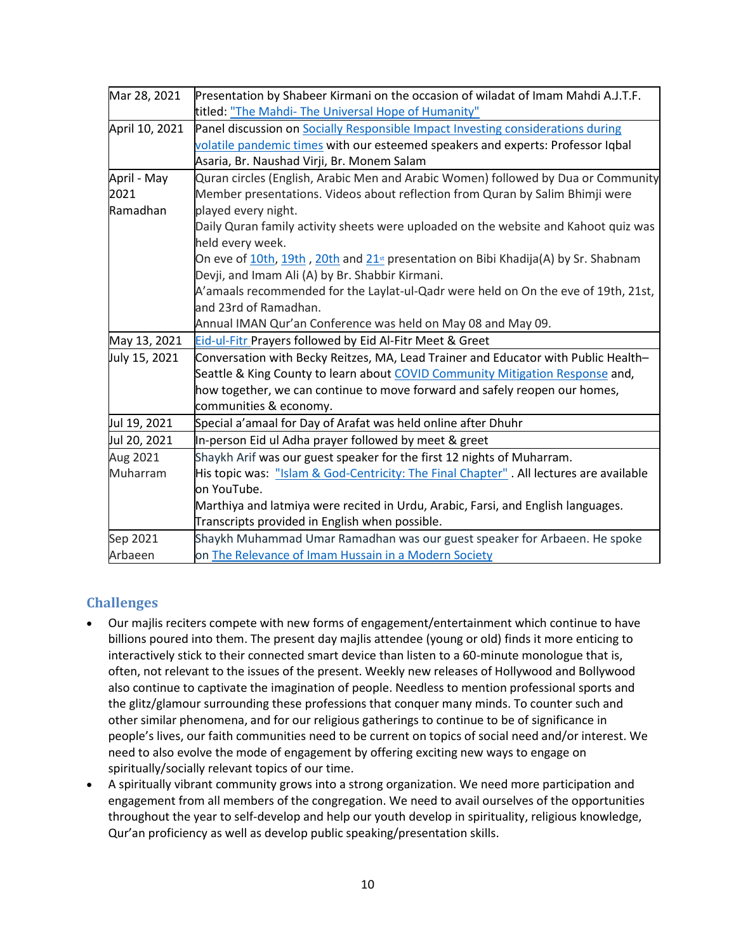| Mar 28, 2021   | Presentation by Shabeer Kirmani on the occasion of wiladat of Imam Mahdi A.J.T.F.      |
|----------------|----------------------------------------------------------------------------------------|
|                | titled: "The Mahdi- The Universal Hope of Humanity"                                    |
| April 10, 2021 | Panel discussion on Socially Responsible Impact Investing considerations during        |
|                | volatile pandemic times with our esteemed speakers and experts: Professor Iqbal        |
|                | Asaria, Br. Naushad Virji, Br. Monem Salam                                             |
| April - May    | Quran circles (English, Arabic Men and Arabic Women) followed by Dua or Community      |
| 2021           | Member presentations. Videos about reflection from Quran by Salim Bhimji were          |
| Ramadhan       | played every night.                                                                    |
|                | Daily Quran family activity sheets were uploaded on the website and Kahoot quiz was    |
|                | held every week.                                                                       |
|                | On eve of 10th, 19th, 20th and $21st$ presentation on Bibi Khadija(A) by Sr. Shabnam   |
|                | Devji, and Imam Ali (A) by Br. Shabbir Kirmani.                                        |
|                | A'amaals recommended for the Laylat-ul-Qadr were held on On the eve of 19th, 21st,     |
|                | and 23rd of Ramadhan.                                                                  |
|                | Annual IMAN Qur'an Conference was held on May 08 and May 09.                           |
| May 13, 2021   | Eid-ul-Fitr Prayers followed by Eid Al-Fitr Meet & Greet                               |
| July 15, 2021  | Conversation with Becky Reitzes, MA, Lead Trainer and Educator with Public Health-     |
|                | Seattle & King County to learn about COVID Community Mitigation Response and,          |
|                | how together, we can continue to move forward and safely reopen our homes,             |
|                | communities & economy.                                                                 |
| Jul 19, 2021   | Special a'amaal for Day of Arafat was held online after Dhuhr                          |
| Jul 20, 2021   | In-person Eid ul Adha prayer followed by meet & greet                                  |
| Aug 2021       | Shaykh Arif was our guest speaker for the first 12 nights of Muharram.                 |
| Muharram       | His topic was: "Islam & God-Centricity: The Final Chapter". All lectures are available |
|                | on YouTube.                                                                            |
|                | Marthiya and latmiya were recited in Urdu, Arabic, Farsi, and English languages.       |
|                | Transcripts provided in English when possible.                                         |
| Sep 2021       | Shaykh Muhammad Umar Ramadhan was our guest speaker for Arbaeen. He spoke              |
| Arbaeen        | on The Relevance of Imam Hussain in a Modern Society                                   |

### **Challenges**

- Our majlis reciters compete with new forms of engagement/entertainment which continue to have billions poured into them. The present day majlis attendee (young or old) finds it more enticing to interactively stick to their connected smart device than listen to a 60-minute monologue that is, often, not relevant to the issues of the present. Weekly new releases of Hollywood and Bollywood also continue to captivate the imagination of people. Needless to mention professional sports and the glitz/glamour surrounding these professions that conquer many minds. To counter such and other similar phenomena, and for our religious gatherings to continue to be of significance in people's lives, our faith communities need to be current on topics of social need and/or interest. We need to also evolve the mode of engagement by offering exciting new ways to engage on spiritually/socially relevant topics of our time.
- A spiritually vibrant community grows into a strong organization. We need more participation and engagement from all members of the congregation. We need to avail ourselves of the opportunities throughout the year to self-develop and help our youth develop in spirituality, religious knowledge, Qur'an proficiency as well as develop public speaking/presentation skills.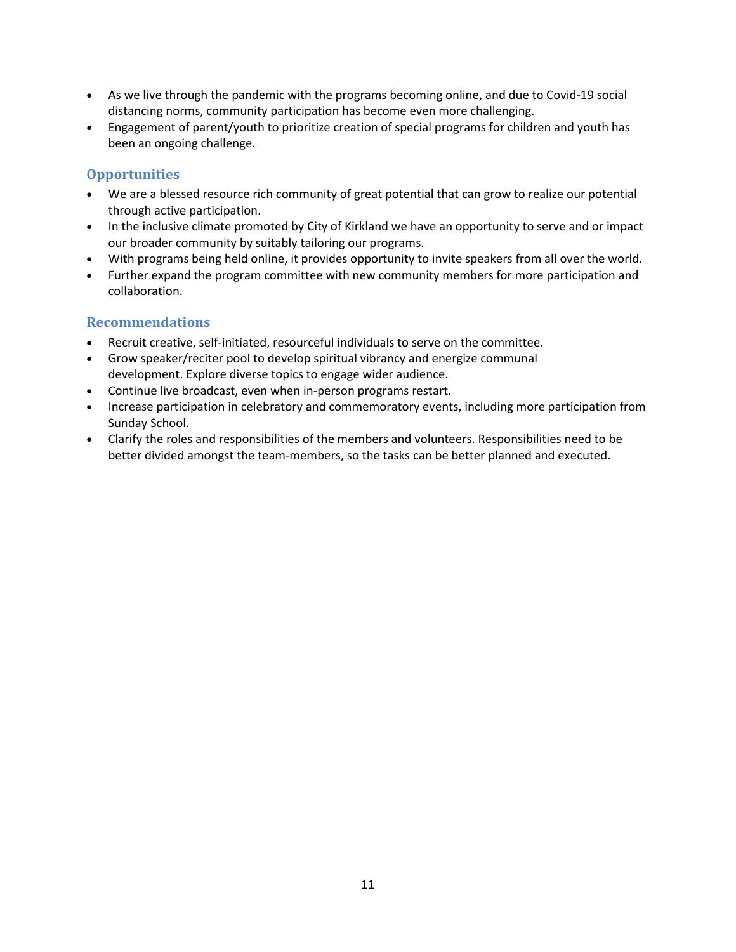- As we live through the pandemic with the programs becoming online, and due to Covid-19 social distancing norms, community participation has become even more challenging.
- Engagement of parent/youth to prioritize creation of special programs for children and youth has been an ongoing challenge.

### **Opportunities**

- We are a blessed resource rich community of great potential that can grow to realize our potential through active participation.
- In the inclusive climate promoted by City of Kirkland we have an opportunity to serve and or impact our broader community by suitably tailoring our programs.
- With programs being held online, it provides opportunity to invite speakers from all over the world.
- Further expand the program committee with new community members for more participation and collaboration.

### **Recommendations**

- Recruit creative, self-initiated, resourceful individuals to serve on the committee.
- Grow speaker/reciter pool to develop spiritual vibrancy and energize communal development. Explore diverse topics to engage wider audience.
- Continue live broadcast, even when in-person programs restart.
- Increase participation in celebratory and commemoratory events, including more participation from Sunday School.
- Clarify the roles and responsibilities of the members and volunteers. Responsibilities need to be better divided amongst the team-members, so the tasks can be better planned and executed.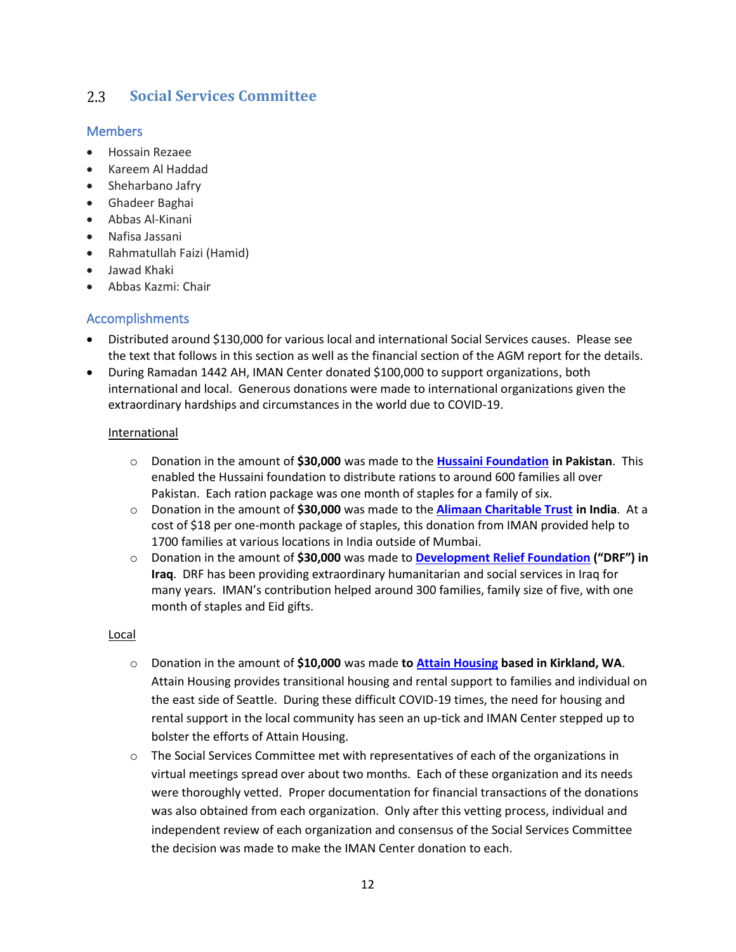#### <span id="page-11-0"></span>**Social Services Committee**  $2.3$

#### **Members**

- Hossain Rezaee
- Kareem Al Haddad
- Sheharbano Jafry
- Ghadeer Baghai
- Abbas Al-Kinani
- Nafisa Jassani
- Rahmatullah Faizi (Hamid)
- Jawad Khaki
- Abbas Kazmi: Chair

### Accomplishments

- Distributed around \$130,000 for various local and international Social Services causes. Please see the text that follows in this section as well as the financial section of the AGM report for the details.
- During Ramadan 1442 AH, IMAN Center donated \$100,000 to support organizations, both international and local. Generous donations were made to international organizations given the extraordinary hardships and circumstances in the world due to COVID-19.

#### International

- o Donation in the amount of **\$30,000** was made to the **[Hussaini Foundation](http://www.hussainifoundation.org/) in Pakistan**. This enabled the Hussaini foundation to distribute rations to around 600 families all over Pakistan. Each ration package was one month of staples for a family of six.
- o Donation in the amount of **\$30,000** was made to the **[Alimaan Charitable Trust](http://alimaan.org/) in India**. At a cost of \$18 per one-month package of staples, this donation from IMAN provided help to 1700 families at various locations in India outside of Mumbai.
- o Donation in the amount of **\$30,000** was made to **[Development Relief Foundation](https://drfcharity.org/) ("DRF") in Iraq**. DRF has been providing extraordinary humanitarian and social services in Iraq for many years. IMAN's contribution helped around 300 families, family size of five, with one month of staples and Eid gifts.

#### Local

- o Donation in the amount of **\$10,000** was made **to [Attain Housing](https://www.attainhousing.org/) based in Kirkland, WA**. Attain Housing provides transitional housing and rental support to families and individual on the east side of Seattle. During these difficult COVID-19 times, the need for housing and rental support in the local community has seen an up-tick and IMAN Center stepped up to bolster the efforts of Attain Housing.
- $\circ$  The Social Services Committee met with representatives of each of the organizations in virtual meetings spread over about two months. Each of these organization and its needs were thoroughly vetted. Proper documentation for financial transactions of the donations was also obtained from each organization. Only after this vetting process, individual and independent review of each organization and consensus of the Social Services Committee the decision was made to make the IMAN Center donation to each.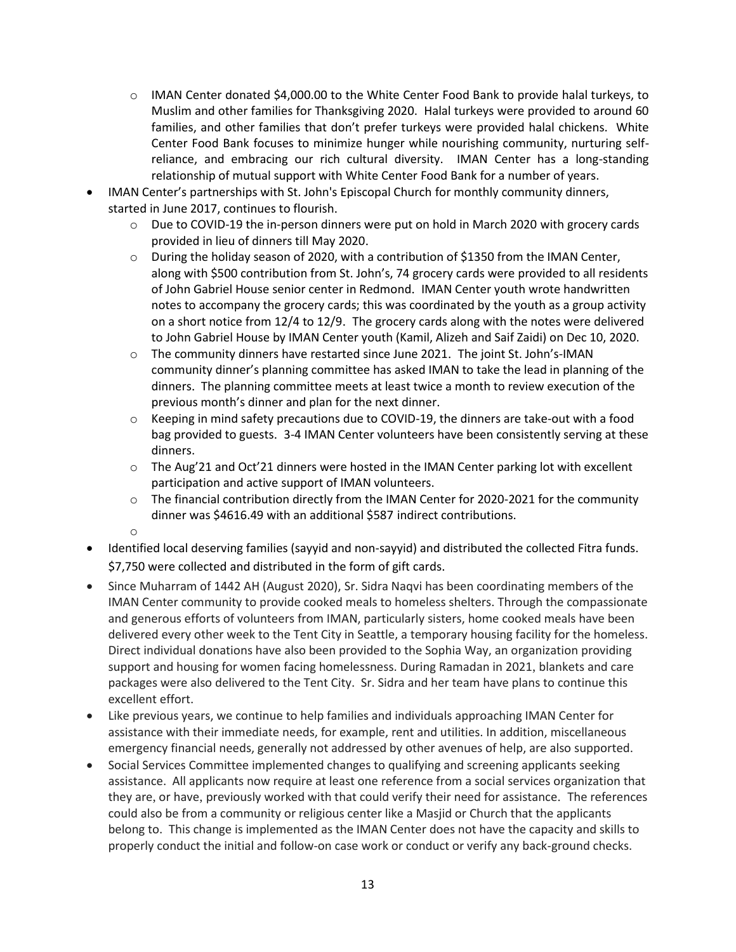- $\circ$  IMAN Center donated \$4,000.00 to the White Center Food Bank to provide halal turkeys, to Muslim and other families for Thanksgiving 2020. Halal turkeys were provided to around 60 families, and other families that don't prefer turkeys were provided halal chickens. White Center Food Bank focuses to minimize hunger while nourishing community, nurturing selfreliance, and embracing our rich cultural diversity. IMAN Center has a long-standing relationship of mutual support with White Center Food Bank for a number of years.
- IMAN Center's partnerships with St. John's Episcopal Church for monthly community dinners, started in June 2017, continues to flourish.
	- o Due to COVID-19 the in-person dinners were put on hold in March 2020 with grocery cards provided in lieu of dinners till May 2020.
	- o During the holiday season of 2020, with a contribution of \$1350 from the IMAN Center, along with \$500 contribution from St. John's, 74 grocery cards were provided to all residents of John Gabriel House senior center in Redmond. IMAN Center youth wrote handwritten notes to accompany the grocery cards; this was coordinated by the youth as a group activity on a short notice from 12/4 to 12/9. The grocery cards along with the notes were delivered to John Gabriel House by IMAN Center youth (Kamil, Alizeh and Saif Zaidi) on Dec 10, 2020.
	- o The community dinners have restarted since June 2021. The joint St. John's-IMAN community dinner's planning committee has asked IMAN to take the lead in planning of the dinners. The planning committee meets at least twice a month to review execution of the previous month's dinner and plan for the next dinner.
	- $\circ$  Keeping in mind safety precautions due to COVID-19, the dinners are take-out with a food bag provided to guests. 3-4 IMAN Center volunteers have been consistently serving at these dinners.
	- $\circ$  The Aug'21 and Oct'21 dinners were hosted in the IMAN Center parking lot with excellent participation and active support of IMAN volunteers.
	- $\circ$  The financial contribution directly from the IMAN Center for 2020-2021 for the community dinner was \$4616.49 with an additional \$587 indirect contributions.
	- o
- Identified local deserving families (sayyid and non-sayyid) and distributed the collected Fitra funds. \$7,750 were collected and distributed in the form of gift cards.
- Since Muharram of 1442 AH (August 2020), Sr. Sidra Naqvi has been coordinating members of the IMAN Center community to provide cooked meals to homeless shelters. Through the compassionate and generous efforts of volunteers from IMAN, particularly sisters, home cooked meals have been delivered every other week to the Tent City in Seattle, a temporary housing facility for the homeless. Direct individual donations have also been provided to the Sophia Way, an organization providing support and housing for women facing homelessness. During Ramadan in 2021, blankets and care packages were also delivered to the Tent City. Sr. Sidra and her team have plans to continue this excellent effort.
- Like previous years, we continue to help families and individuals approaching IMAN Center for assistance with their immediate needs, for example, rent and utilities. In addition, miscellaneous emergency financial needs, generally not addressed by other avenues of help, are also supported.
- Social Services Committee implemented changes to qualifying and screening applicants seeking assistance. All applicants now require at least one reference from a social services organization that they are, or have, previously worked with that could verify their need for assistance. The references could also be from a community or religious center like a Masjid or Church that the applicants belong to. This change is implemented as the IMAN Center does not have the capacity and skills to properly conduct the initial and follow-on case work or conduct or verify any back-ground checks.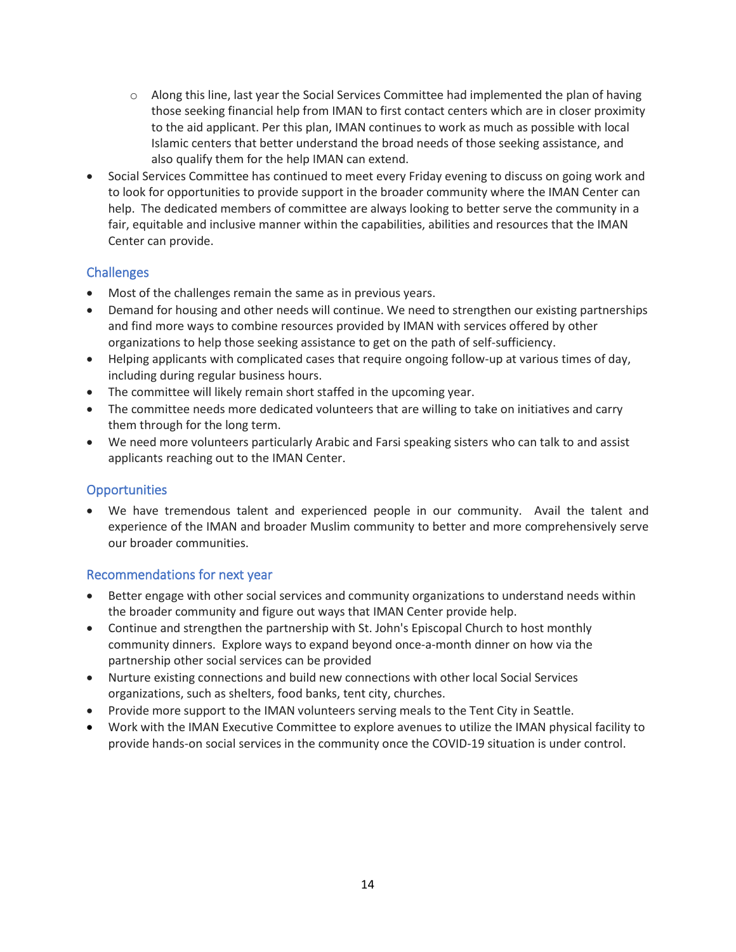- $\circ$  Along this line, last year the Social Services Committee had implemented the plan of having those seeking financial help from IMAN to first contact centers which are in closer proximity to the aid applicant. Per this plan, IMAN continues to work as much as possible with local Islamic centers that better understand the broad needs of those seeking assistance, and also qualify them for the help IMAN can extend.
- Social Services Committee has continued to meet every Friday evening to discuss on going work and to look for opportunities to provide support in the broader community where the IMAN Center can help. The dedicated members of committee are always looking to better serve the community in a fair, equitable and inclusive manner within the capabilities, abilities and resources that the IMAN Center can provide.

### **Challenges**

- Most of the challenges remain the same as in previous years.
- Demand for housing and other needs will continue. We need to strengthen our existing partnerships and find more ways to combine resources provided by IMAN with services offered by other organizations to help those seeking assistance to get on the path of self-sufficiency.
- Helping applicants with complicated cases that require ongoing follow-up at various times of day, including during regular business hours.
- The committee will likely remain short staffed in the upcoming year.
- The committee needs more dedicated volunteers that are willing to take on initiatives and carry them through for the long term.
- We need more volunteers particularly Arabic and Farsi speaking sisters who can talk to and assist applicants reaching out to the IMAN Center.

### **Opportunities**

• We have tremendous talent and experienced people in our community. Avail the talent and experience of the IMAN and broader Muslim community to better and more comprehensively serve our broader communities.

### Recommendations for next year

- Better engage with other social services and community organizations to understand needs within the broader community and figure out ways that IMAN Center provide help.
- Continue and strengthen the partnership with St. John's Episcopal Church to host monthly community dinners. Explore ways to expand beyond once-a-month dinner on how via the partnership other social services can be provided
- Nurture existing connections and build new connections with other local Social Services organizations, such as shelters, food banks, tent city, churches.
- Provide more support to the IMAN volunteers serving meals to the Tent City in Seattle.
- Work with the IMAN Executive Committee to explore avenues to utilize the IMAN physical facility to provide hands-on social services in the community once the COVID-19 situation is under control.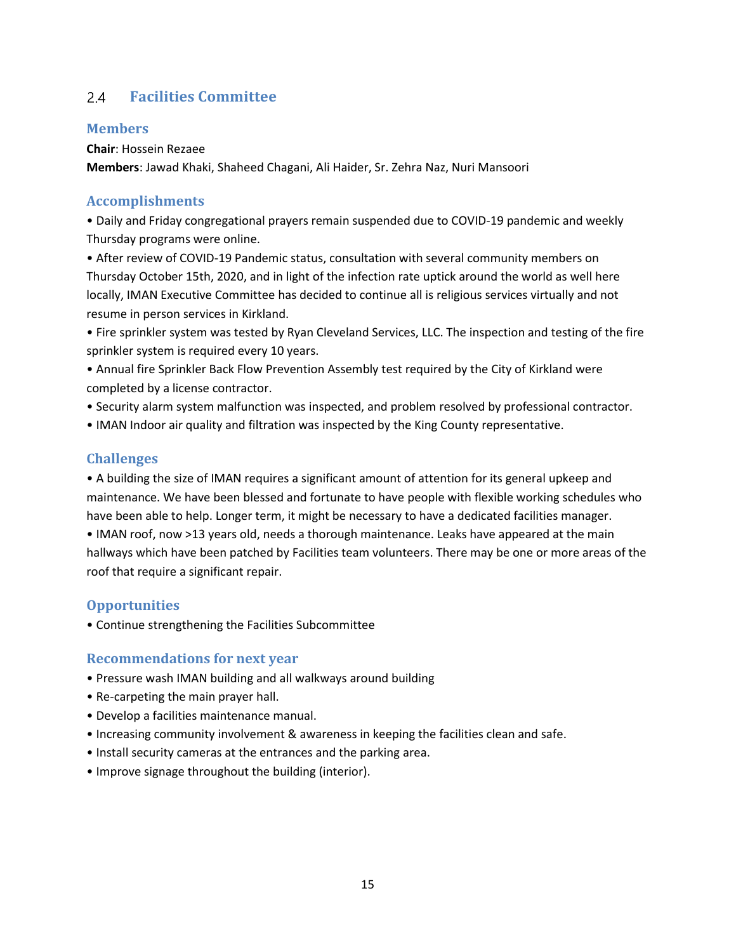#### <span id="page-14-0"></span>**Facilities Committee**  $2.4$

### **Members**

**Chair**: Hossein Rezaee

**Members**: Jawad Khaki, Shaheed Chagani, Ali Haider, Sr. Zehra Naz, Nuri Mansoori

### **Accomplishments**

• Daily and Friday congregational prayers remain suspended due to COVID-19 pandemic and weekly Thursday programs were online.

• After review of COVID-19 Pandemic status, consultation with several community members on Thursday October 15th, 2020, and in light of the infection rate uptick around the world as well here locally, IMAN Executive Committee has decided to continue all is religious services virtually and not resume in person services in Kirkland.

• Fire sprinkler system was tested by Ryan Cleveland Services, LLC. The inspection and testing of the fire sprinkler system is required every 10 years.

• Annual fire Sprinkler Back Flow Prevention Assembly test required by the City of Kirkland were completed by a license contractor.

- Security alarm system malfunction was inspected, and problem resolved by professional contractor.
- IMAN Indoor air quality and filtration was inspected by the King County representative.

### **Challenges**

• A building the size of IMAN requires a significant amount of attention for its general upkeep and maintenance. We have been blessed and fortunate to have people with flexible working schedules who have been able to help. Longer term, it might be necessary to have a dedicated facilities manager. • IMAN roof, now >13 years old, needs a thorough maintenance. Leaks have appeared at the main hallways which have been patched by Facilities team volunteers. There may be one or more areas of the roof that require a significant repair.

### **Opportunities**

• Continue strengthening the Facilities Subcommittee

### **Recommendations for next year**

- Pressure wash IMAN building and all walkways around building
- Re-carpeting the main prayer hall.
- Develop a facilities maintenance manual.
- Increasing community involvement & awareness in keeping the facilities clean and safe.
- Install security cameras at the entrances and the parking area.
- Improve signage throughout the building (interior).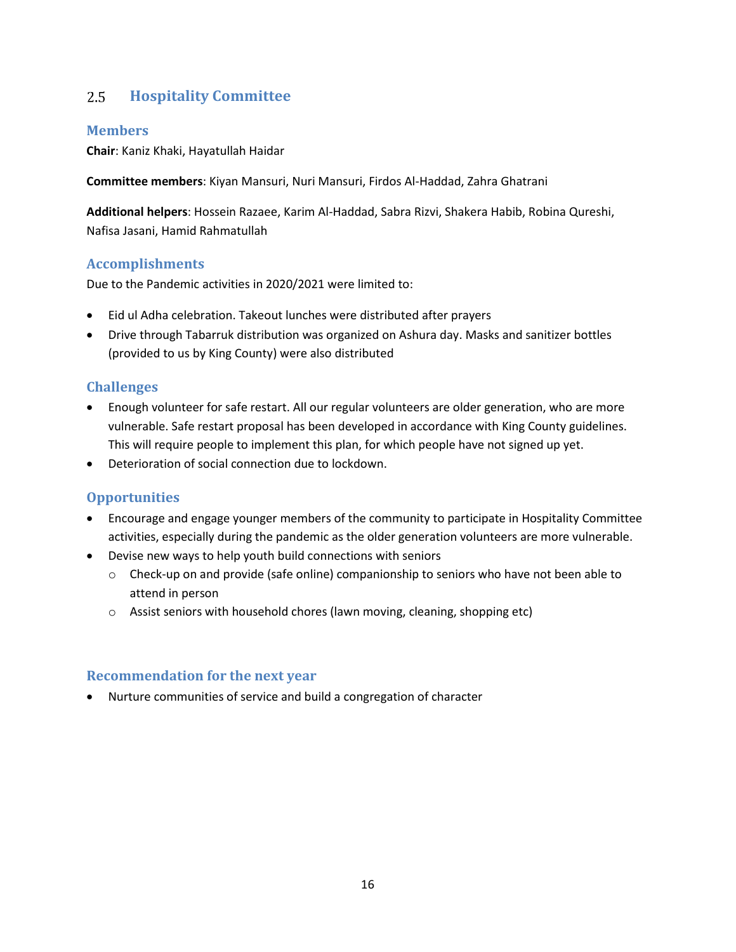#### <span id="page-15-0"></span>2.5 **Hospitality Committee**

### **Members**

**Chair**: Kaniz Khaki, Hayatullah Haidar

**Committee members**: Kiyan Mansuri, Nuri Mansuri, Firdos Al-Haddad, Zahra Ghatrani

**Additional helpers**: Hossein Razaee, Karim Al-Haddad, Sabra Rizvi, Shakera Habib, Robina Qureshi, Nafisa Jasani, Hamid Rahmatullah

### **Accomplishments**

Due to the Pandemic activities in 2020/2021 were limited to:

- Eid ul Adha celebration. Takeout lunches were distributed after prayers
- Drive through Tabarruk distribution was organized on Ashura day. Masks and sanitizer bottles (provided to us by King County) were also distributed

### **Challenges**

- Enough volunteer for safe restart. All our regular volunteers are older generation, who are more vulnerable. Safe restart proposal has been developed in accordance with King County guidelines. This will require people to implement this plan, for which people have not signed up yet.
- Deterioration of social connection due to lockdown.

### **Opportunities**

- Encourage and engage younger members of the community to participate in Hospitality Committee activities, especially during the pandemic as the older generation volunteers are more vulnerable.
- Devise new ways to help youth build connections with seniors
	- o Check-up on and provide (safe online) companionship to seniors who have not been able to attend in person
	- $\circ$  Assist seniors with household chores (lawn moving, cleaning, shopping etc)

#### **Recommendation for the next year**

• Nurture communities of service and build a congregation of character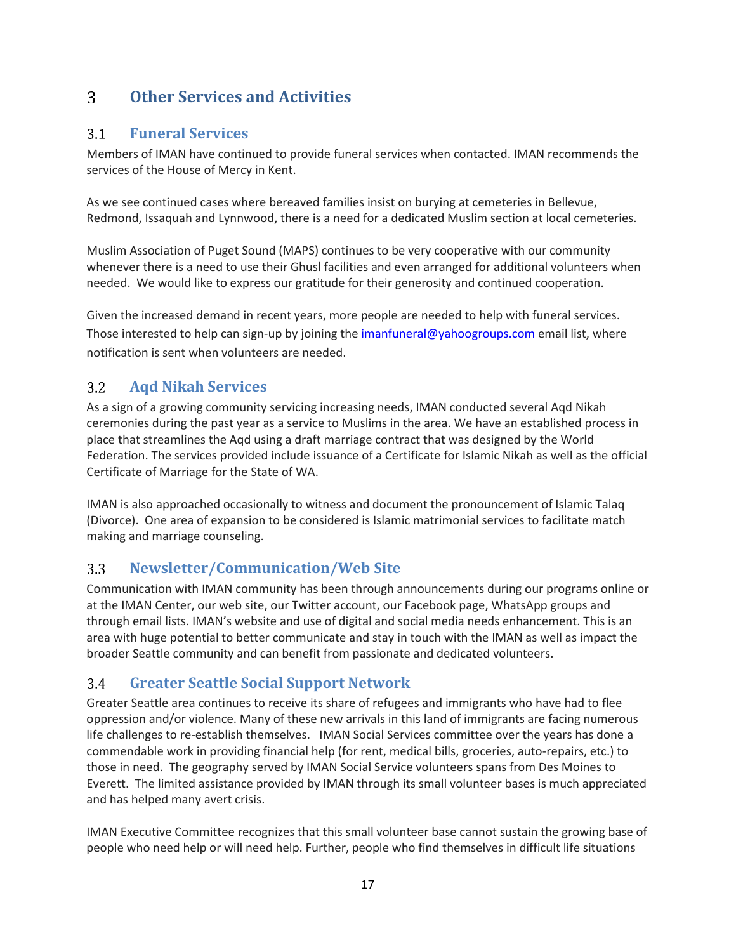#### <span id="page-16-0"></span> $3<sup>1</sup>$ **Other Services and Activities**

#### <span id="page-16-1"></span> $3.1$ **Funeral Services**

Members of IMAN have continued to provide funeral services when contacted. IMAN recommends the services of the House of Mercy in Kent.

As we see continued cases where bereaved families insist on burying at cemeteries in Bellevue, Redmond, Issaquah and Lynnwood, there is a need for a dedicated Muslim section at local cemeteries.

Muslim Association of Puget Sound (MAPS) continues to be very cooperative with our community whenever there is a need to use their Ghusl facilities and even arranged for additional volunteers when needed. We would like to express our gratitude for their generosity and continued cooperation.

Given the increased demand in recent years, more people are needed to help with funeral services. Those interested to help can sign-up by joining the *imanfuneral@yahoogroups.com* email list, where notification is sent when volunteers are needed.

#### <span id="page-16-2"></span> $3.2$ **Aqd Nikah Services**

As a sign of a growing community servicing increasing needs, IMAN conducted several Aqd Nikah ceremonies during the past year as a service to Muslims in the area. We have an established process in place that streamlines the Aqd using a draft marriage contract that was designed by the World Federation. The services provided include issuance of a Certificate for Islamic Nikah as well as the official Certificate of Marriage for the State of WA.

IMAN is also approached occasionally to witness and document the pronouncement of Islamic Talaq (Divorce). One area of expansion to be considered is Islamic matrimonial services to facilitate match making and marriage counseling.

#### <span id="page-16-3"></span>**Newsletter/Communication/Web Site**   $3.3$

Communication with IMAN community has been through announcements during our programs online or at the IMAN Center, our web site, our Twitter account, our Facebook page, WhatsApp groups and through email lists. IMAN's website and use of digital and social media needs enhancement. This is an area with huge potential to better communicate and stay in touch with the IMAN as well as impact the broader Seattle community and can benefit from passionate and dedicated volunteers.

#### <span id="page-16-4"></span>**Greater Seattle Social Support Network**  $3.4$

Greater Seattle area continues to receive its share of refugees and immigrants who have had to flee oppression and/or violence. Many of these new arrivals in this land of immigrants are facing numerous life challenges to re-establish themselves. IMAN Social Services committee over the years has done a commendable work in providing financial help (for rent, medical bills, groceries, auto-repairs, etc.) to those in need. The geography served by IMAN Social Service volunteers spans from Des Moines to Everett. The limited assistance provided by IMAN through its small volunteer bases is much appreciated and has helped many avert crisis.

IMAN Executive Committee recognizes that this small volunteer base cannot sustain the growing base of people who need help or will need help. Further, people who find themselves in difficult life situations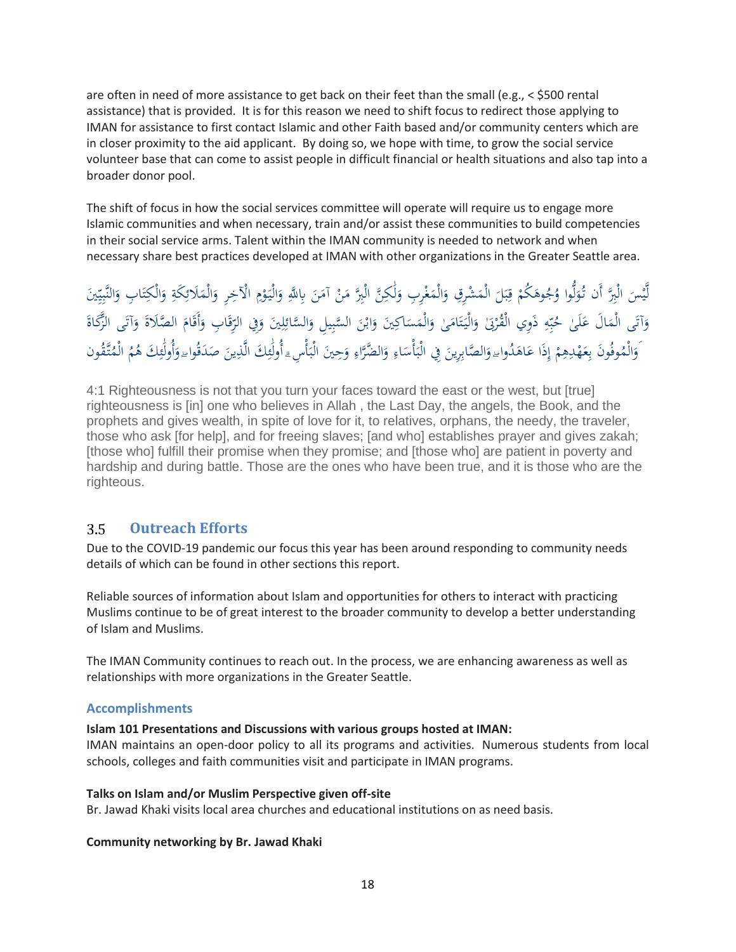are often in need of more assistance to get back on their feet than the small (e.g.,  $\le$  \$500 rental assistance) that is provided. It is for this reason we need to shift focus to redirect those applying to IMAN for assistance to first contact Islamic and other Faith based and/or community centers which are in closer proximity to the aid applicant. By doing so, we hope with time, to grow the social service volunteer base that can come to assist people in difficult financial or health situations and also tap into a broader donor pool.

The shift of focus in how the social services committee will operate will require us to engage more Islamic communities and when necessary, train and/or assist these communities to build competencies in their social service arms. Talent within the IMAN community is needed to network and when necessary share best practices developed at IMAN with other organizations in the Greater Seattle area.

ْ يْسَ الْبِرَّ أَن تُوَلُّوا وُجُوهَكُمْ قِبَلَ الْمَشْرِقِ وَالْمَغْرِبِ وَلَٰكِنَّ الْبِرَّ مَنْ آمَنَ بِاللَّهِ وَالْيَوْمِ الْآخِرِ وَالْمَلَائِكَةِ وَالْكِتَابِ وَالنَّبِيِّينَ  $\ddot{\phantom{0}}$ َ َ <u>:</u> َٰ لَ َ .<br>.  $\overline{a}$ َ  $\overline{a}$ ٍ<br>ب ب ر ْ **م** ل َ ٔ<br>ا ي لَّ ر ر ي ر َ ; ت َ <u>بة</u> ر  $\overline{a}$ َ ر وَآتَى الْمَالَ عَلَىٰ حُبِّهِ ذَوِي الْقُرْبَىٰ وَالْيَتَامَىٰ وَالْمَسَاكِينَ وَابْنَ السَّبِيلِ وَالسَّائِلِينَ وَفِي الرِّقَابِ وَأَقَامَ الصَّلاةَ وَآتَى الزَّكَاةَ<br>وَ َ ر ر<br>ئ َ ر :<br>ا َ </sub> َ ا<br>ا ت  $\ddot{\phantom{0}}$ َ ر بر ب **ء**  $\ddot{\phantom{0}}$ َ ة<br>أ َ مُ َ َ َ </sub><br>د َ وَالْمُوفُونَ بِعَهْدِهِمْ إِذَا عَاهَدُواءِ وَالصَّابِرِينَ فِي الْبَأْسَاءِ وَالضَّرَّاءِ وَحِينَ الْبَأْسِءِ أُولَٰئِكَ الَّذِينَ صَدَقُواء وَأُولَٰئِكَ هُمُ الْمُتَّقُون ر إ ْ ر َ ر َ ر مد َٰ َ ا<br>ا  $\ddot{\phantom{0}}$ ر ئ َٰ  $\ddot{\cdot}$ ر َ ر ا<br>ا  $\ddot{\cdot}$ َ َ

4:1 Righteousness is not that you turn your faces toward the east or the west, but [true] righteousness is [in] one who believes in Allah , the Last Day, the angels, the Book, and the prophets and gives wealth, in spite of love for it, to relatives, orphans, the needy, the traveler, those who ask [for help], and for freeing slaves; [and who] establishes prayer and gives zakah; [those who] fulfill their promise when they promise; and [those who] are patient in poverty and hardship and during battle. Those are the ones who have been true, and it is those who are the righteous.

#### <span id="page-17-0"></span>3.5 **Outreach Efforts**

Due to the COVID-19 pandemic our focus this year has been around responding to community needs details of which can be found in other sections this report.

Reliable sources of information about Islam and opportunities for others to interact with practicing Muslims continue to be of great interest to the broader community to develop a better understanding of Islam and Muslims.

The IMAN Community continues to reach out. In the process, we are enhancing awareness as well as relationships with more organizations in the Greater Seattle.

### **Accomplishments**

#### **Islam 101 Presentations and Discussions with various groups hosted at IMAN:**

IMAN maintains an open-door policy to all its programs and activities. Numerous students from local schools, colleges and faith communities visit and participate in IMAN programs.

#### **Talks on Islam and/or Muslim Perspective given off-site**

Br. Jawad Khaki visits local area churches and educational institutions on as need basis.

#### **Community networking by Br. Jawad Khaki**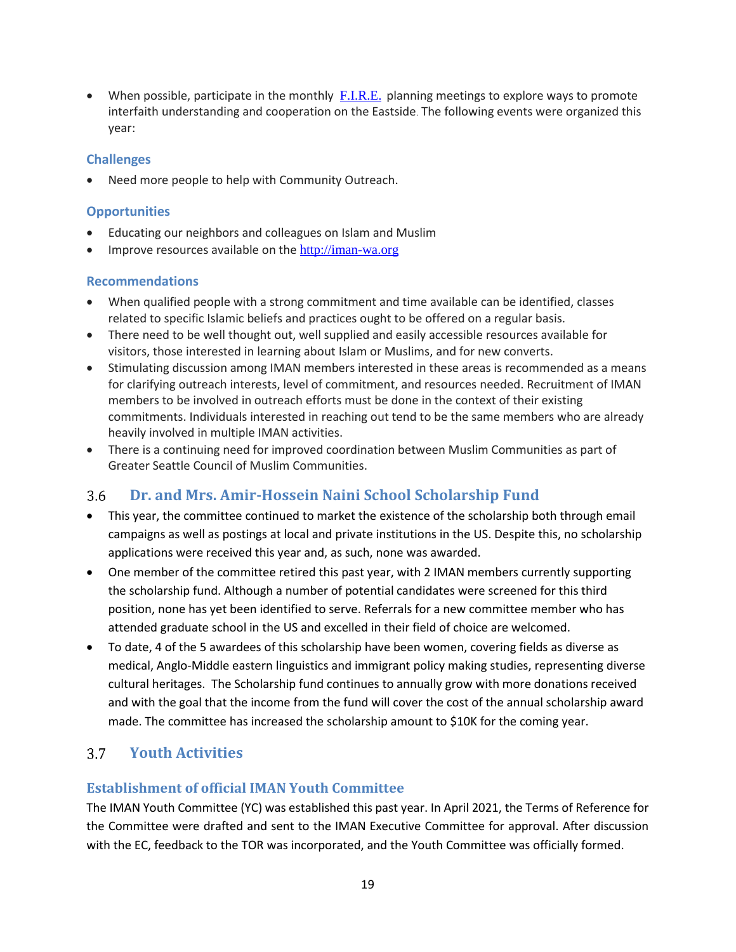• When possible, participate in the monthly  $F.I.R.E.$  planning meetings to explore ways to promote interfaith understanding and cooperation on the Eastside. The following events were organized this year:

### **Challenges**

Need more people to help with Community Outreach.

#### **Opportunities**

- Educating our neighbors and colleagues on Islam and Muslim
- Improve resources available on the [http://iman-wa.org](http://iman-wa.org/)

#### **Recommendations**

- When qualified people with a strong commitment and time available can be identified, classes related to specific Islamic beliefs and practices ought to be offered on a regular basis.
- There need to be well thought out, well supplied and easily accessible resources available for visitors, those interested in learning about Islam or Muslims, and for new converts.
- Stimulating discussion among IMAN members interested in these areas is recommended as a means for clarifying outreach interests, level of commitment, and resources needed. Recruitment of IMAN members to be involved in outreach efforts must be done in the context of their existing commitments. Individuals interested in reaching out tend to be the same members who are already heavily involved in multiple IMAN activities.
- There is a continuing need for improved coordination between Muslim Communities as part of Greater Seattle Council of Muslim Communities.

#### <span id="page-18-0"></span> $3.6$ **Dr. and Mrs. Amir-Hossein Naini School Scholarship Fund**

- This year, the committee continued to market the existence of the scholarship both through email campaigns as well as postings at local and private institutions in the US. Despite this, no scholarship applications were received this year and, as such, none was awarded.
- One member of the committee retired this past year, with 2 IMAN members currently supporting the scholarship fund. Although a number of potential candidates were screened for this third position, none has yet been identified to serve. Referrals for a new committee member who has attended graduate school in the US and excelled in their field of choice are welcomed.
- To date, 4 of the 5 awardees of this scholarship have been women, covering fields as diverse as medical, Anglo-Middle eastern linguistics and immigrant policy making studies, representing diverse cultural heritages. The Scholarship fund continues to annually grow with more donations received and with the goal that the income from the fund will cover the cost of the annual scholarship award made. The committee has increased the scholarship amount to \$10K for the coming year.

#### <span id="page-18-1"></span> $3.7$ **Youth Activities**

### **Establishment of official IMAN Youth Committee**

The IMAN Youth Committee (YC) was established this past year. In April 2021, the Terms of Reference for the Committee were drafted and sent to the IMAN Executive Committee for approval. After discussion with the EC, feedback to the TOR was incorporated, and the Youth Committee was officially formed.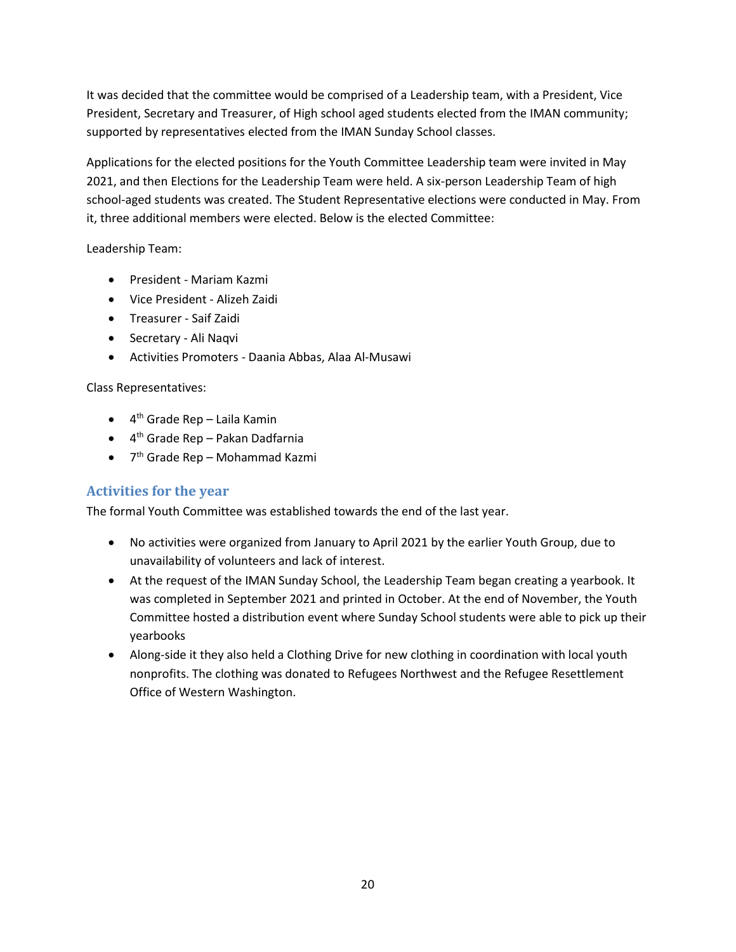It was decided that the committee would be comprised of a Leadership team, with a President, Vice President, Secretary and Treasurer, of High school aged students elected from the IMAN community; supported by representatives elected from the IMAN Sunday School classes.

Applications for the elected positions for the Youth Committee Leadership team were invited in May 2021, and then Elections for the Leadership Team were held. A six-person Leadership Team of high school-aged students was created. The Student Representative elections were conducted in May. From it, three additional members were elected. Below is the elected Committee:

Leadership Team:

- President Mariam Kazmi
- Vice President Alizeh Zaidi
- Treasurer Saif Zaidi
- Secretary Ali Naqvi
- Activities Promoters Daania Abbas, Alaa Al-Musawi

### Class Representatives:

- 4 th Grade Rep Laila Kamin
- 4 th Grade Rep Pakan Dadfarnia
- 7<sup>th</sup> Grade Rep Mohammad Kazmi

### **Activities for the year**

The formal Youth Committee was established towards the end of the last year.

- No activities were organized from January to April 2021 by the earlier Youth Group, due to unavailability of volunteers and lack of interest.
- At the request of the IMAN Sunday School, the Leadership Team began creating a yearbook. It was completed in September 2021 and printed in October. At the end of November, the Youth Committee hosted a distribution event where Sunday School students were able to pick up their yearbooks
- Along-side it they also held a Clothing Drive for new clothing in coordination with local youth nonprofits. The clothing was donated to Refugees Northwest and the Refugee Resettlement Office of Western Washington.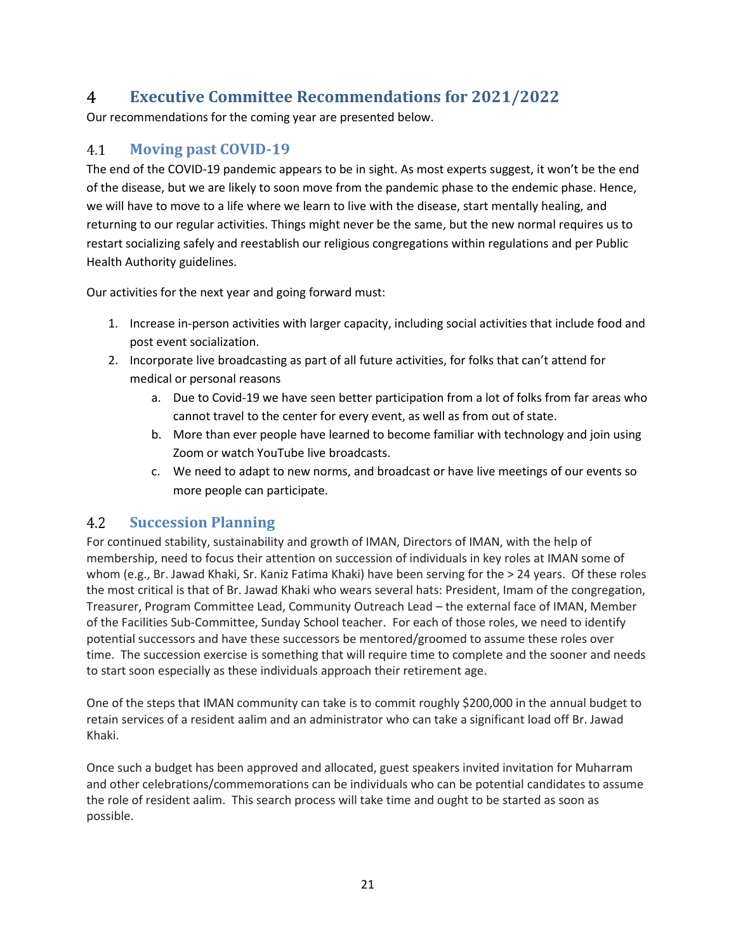#### <span id="page-20-0"></span> $\overline{4}$ **Executive Committee Recommendations for 2021/2022**

Our recommendations for the coming year are presented below.

#### <span id="page-20-1"></span>**Moving past COVID-19** 4.1

The end of the COVID-19 pandemic appears to be in sight. As most experts suggest, it won't be the end of the disease, but we are likely to soon move from the pandemic phase to the endemic phase. Hence, we will have to move to a life where we learn to live with the disease, start mentally healing, and returning to our regular activities. Things might never be the same, but the new normal requires us to restart socializing safely and reestablish our religious congregations within regulations and per Public Health Authority guidelines.

Our activities for the next year and going forward must:

- 1. Increase in-person activities with larger capacity, including social activities that include food and post event socialization.
- 2. Incorporate live broadcasting as part of all future activities, for folks that can't attend for medical or personal reasons
	- a. Due to Covid-19 we have seen better participation from a lot of folks from far areas who cannot travel to the center for every event, as well as from out of state.
	- b. More than ever people have learned to become familiar with technology and join using Zoom or watch YouTube live broadcasts.
	- c. We need to adapt to new norms, and broadcast or have live meetings of our events so more people can participate.

#### <span id="page-20-2"></span> $4.2$ **Succession Planning**

For continued stability, sustainability and growth of IMAN, Directors of IMAN, with the help of membership, need to focus their attention on succession of individuals in key roles at IMAN some of whom (e.g., Br. Jawad Khaki, Sr. Kaniz Fatima Khaki) have been serving for the > 24 years. Of these roles the most critical is that of Br. Jawad Khaki who wears several hats: President, Imam of the congregation, Treasurer, Program Committee Lead, Community Outreach Lead – the external face of IMAN, Member of the Facilities Sub-Committee, Sunday School teacher. For each of those roles, we need to identify potential successors and have these successors be mentored/groomed to assume these roles over time. The succession exercise is something that will require time to complete and the sooner and needs to start soon especially as these individuals approach their retirement age.

One of the steps that IMAN community can take is to commit roughly \$200,000 in the annual budget to retain services of a resident aalim and an administrator who can take a significant load off Br. Jawad Khaki.

Once such a budget has been approved and allocated, guest speakers invited invitation for Muharram and other celebrations/commemorations can be individuals who can be potential candidates to assume the role of resident aalim. This search process will take time and ought to be started as soon as possible.